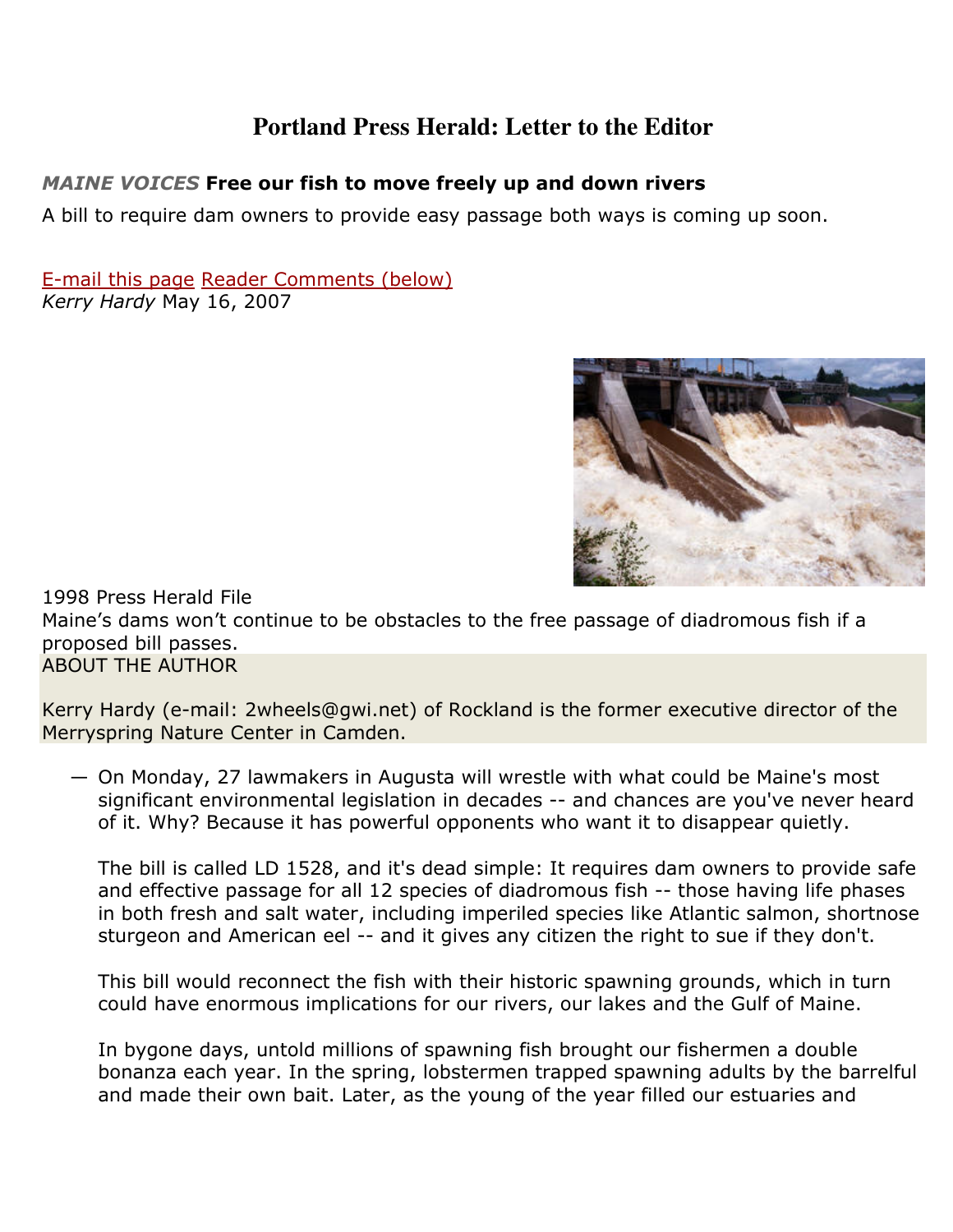## **Portland Press Herald: Letter to the Editor**

## MAINE VOICES Free our fish to move freely up and down rivers

A bill to require dam owners to provide easy passage both ways is coming up soon.

E-mail this page Reader Comments (below) Kerry Hardy May 16, 2007



1998 Press Herald File Maine's dams won't continue to be obstacles to the free passage of diadromous fish if a proposed bill passes. ABOUT THE AUTHOR

Kerry Hardy (e-mail: 2wheels@gwi.net) of Rockland is the former executive director of the Merryspring Nature Center in Camden.

— On Monday, 27 lawmakers in Augusta will wrestle with what could be Maine's most significant environmental legislation in decades -- and chances are you've never heard of it. Why? Because it has powerful opponents who want it to disappear quietly.

The bill is called LD 1528, and it's dead simple: It requires dam owners to provide safe and effective passage for all 12 species of diadromous fish -- those having life phases in both fresh and salt water, including imperiled species like Atlantic salmon, shortnose sturgeon and American eel -- and it gives any citizen the right to sue if they don't.

This bill would reconnect the fish with their historic spawning grounds, which in turn could have enormous implications for our rivers, our lakes and the Gulf of Maine.

In bygone days, untold millions of spawning fish brought our fishermen a double bonanza each year. In the spring, lobstermen trapped spawning adults by the barrelful and made their own bait. Later, as the young of the year filled our estuaries and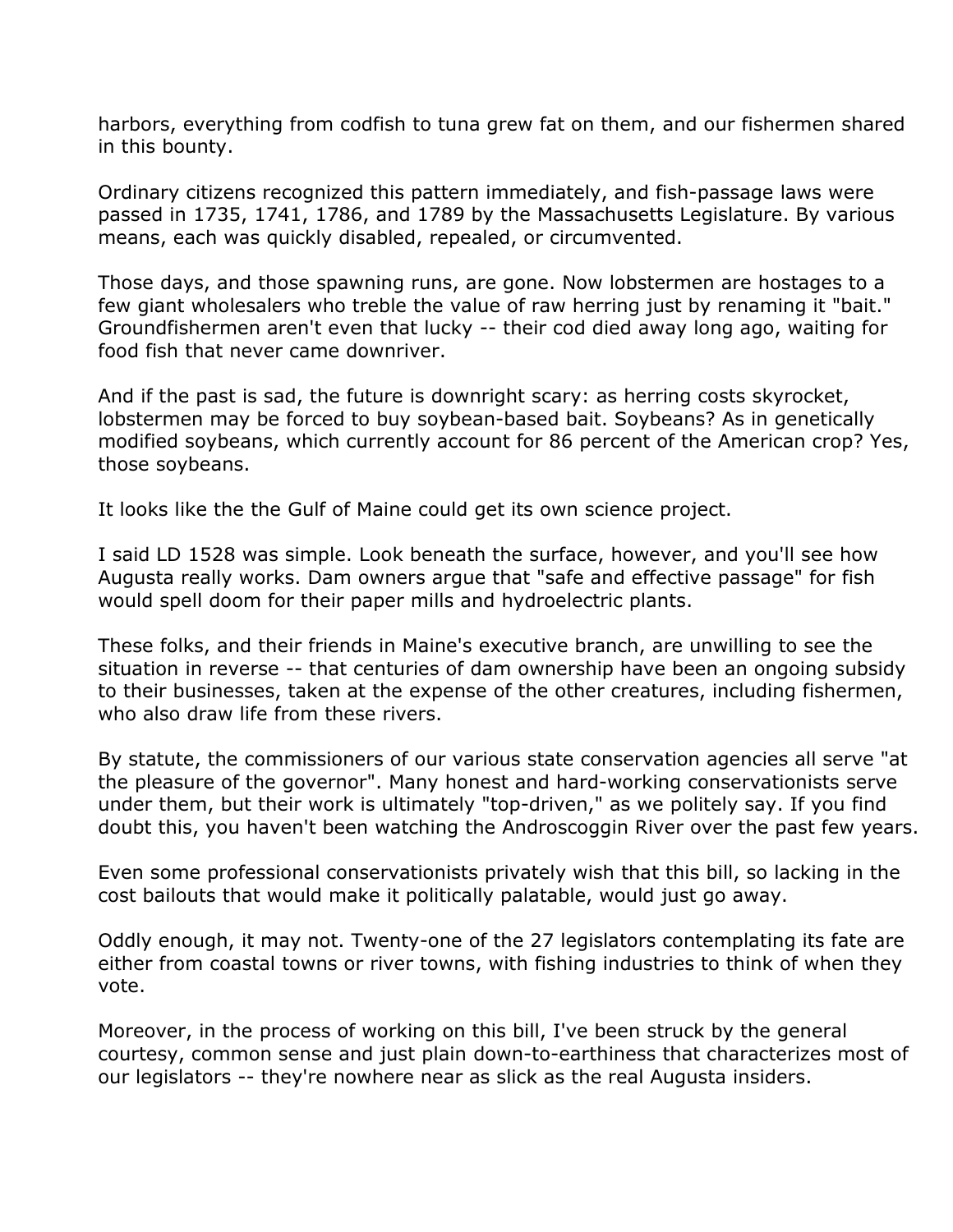harbors, everything from codfish to tuna grew fat on them, and our fishermen shared in this bounty.

Ordinary citizens recognized this pattern immediately, and fish-passage laws were passed in 1735, 1741, 1786, and 1789 by the Massachusetts Legislature. By various means, each was quickly disabled, repealed, or circumvented.

Those days, and those spawning runs, are gone. Now lobstermen are hostages to a few giant wholesalers who treble the value of raw herring just by renaming it "bait." Groundfishermen aren't even that lucky -- their cod died away long ago, waiting for food fish that never came downriver.

And if the past is sad, the future is downright scary: as herring costs skyrocket, lobstermen may be forced to buy soybean-based bait. Soybeans? As in genetically modified soybeans, which currently account for 86 percent of the American crop? Yes, those soybeans.

It looks like the the Gulf of Maine could get its own science project.

I said LD 1528 was simple. Look beneath the surface, however, and you'll see how Augusta really works. Dam owners argue that "safe and effective passage" for fish would spell doom for their paper mills and hydroelectric plants.

These folks, and their friends in Maine's executive branch, are unwilling to see the situation in reverse -- that centuries of dam ownership have been an ongoing subsidy to their businesses, taken at the expense of the other creatures, including fishermen, who also draw life from these rivers.

By statute, the commissioners of our various state conservation agencies all serve "at the pleasure of the governor". Many honest and hard-working conservationists serve under them, but their work is ultimately "top-driven," as we politely say. If you find doubt this, you haven't been watching the Androscoggin River over the past few years.

Even some professional conservationists privately wish that this bill, so lacking in the cost bailouts that would make it politically palatable, would just go away.

Oddly enough, it may not. Twenty-one of the 27 legislators contemplating its fate are either from coastal towns or river towns, with fishing industries to think of when they vote.

Moreover, in the process of working on this bill, I've been struck by the general courtesy, common sense and just plain down-to-earthiness that characterizes most of our legislators -- they're nowhere near as slick as the real Augusta insiders.